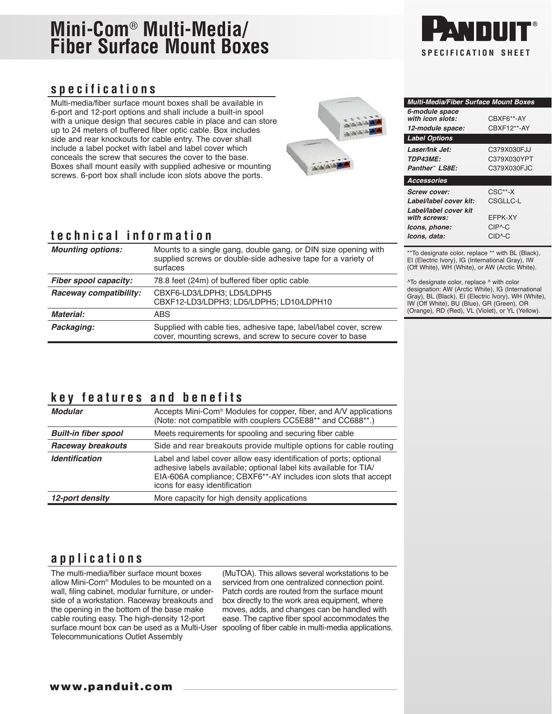# **Mini-Com**® **Multi-Media/ Fiber Surface Mount Boxes**

#### **specifications**

Multi-media/fiber surface mount boxes shall be available in 6-port and 12-port options and shall include a built-in spool with a unique design that secures cable in place and can store up to 24 meters of buffered fiber optic cable. Box includes side and rear knockouts for cable entry. The cover shall include a label pocket with label and label cover which conceals the screw that secures the cover to the base. Boxes shall mount easily with supplied adhesive or mounting screws. 6-port box shall include icon slots above the ports.



#### **technical information**

| <b>Mounting options:</b> | Mounts to a single gang, double gang, or DIN size opening with<br>supplied screws or double-side adhesive tape for a variety of<br>surfaces |
|--------------------------|---------------------------------------------------------------------------------------------------------------------------------------------|
| Fiber spool capacity:    | 78.8 feet (24m) of buffered fiber optic cable                                                                                               |
| Raceway compatibility:   | CBXF6-LD3/LDPH3: LD5/LDPH5<br>CBXF12-LD3/LDPH3; LD5/LDPH5; LD10/LDPH10                                                                      |
| <b>Material:</b>         | ABS                                                                                                                                         |
| Packaging:               | Supplied with cable ties, adhesive tape, label/label cover, screw<br>cover, mounting screws, and screw to secure cover to base              |

\*\*To designate color, replace \*\* with BL (Black), EI (Electric Ivory), IG (International Gray), IW (Off White), WH (White), or AW (Arctic White).

^To designate color, replace ^ with color designation: AW (Arctic White), IG (International Gray), BL (Black), EI (Electric Ivory), WH (White), IW (Off White), BU (Blue), GR (Green), OR (Orange), RD (Red), VL (Violet), or YL (Yellow).

### **key features and benefits**

| <b>Modular</b>                      | Accepts Mini-Com <sup>®</sup> Modules for copper, fiber, and A/V applications<br>(Note: not compatible with couplers CC5E88** and CC688**.)                                                                                                 |
|-------------------------------------|---------------------------------------------------------------------------------------------------------------------------------------------------------------------------------------------------------------------------------------------|
| <b>Built-in fiber spool</b>         | Meets requirements for spooling and securing fiber cable                                                                                                                                                                                    |
| Raceway breakouts                   | Side and rear breakouts provide multiple options for cable routing                                                                                                                                                                          |
| <i><u><b>Identification</b></u></i> | Label and label cover allow easy identification of ports; optional<br>adhesive labels available; optional label kits available for TIA/<br>EIA-606A compliance; CBXF6**-AY includes icon slots that accept<br>icons for easy identification |
| 12-port density                     | More capacity for high density applications                                                                                                                                                                                                 |

#### **applications**

The multi-media/fiber surface mount boxes allow Mini-Com® Modules to be mounted on a wall, filing cabinet, modular furniture, or underside of a workstation. Raceway breakouts and the opening in the bottom of the base make cable routing easy. The high-density 12-port Telecommunications Outlet Assembly

surface mount box can be used as a Multi-User spooling of fiber cable in multi-media applications. (MuTOA). This allows several workstations to be serviced from one centralized connection point. Patch cords are routed from the surface mount box directly to the work area equipment, where moves, adds, and changes can be handled with ease. The captive fiber spool accommodates the

# **SPECIFICATION SHEET**

*Multi-Media/Fiber Surface Mount Boxes*

*with icon slots:* CBXF6\*\*-AY *12-module space:* CBXF12\*\*-AY

*Laser/Ink Jet:* C379X030FJJ *TDP43ME:* C379X030YPT *Panther*™ *LS8E:* C379X030FJC

*Screw cover:* CSC\*\*-X *Label/label cover kit:* CSGLLC-L

*with screws:* EFPK-XY *Icons, phone:* CIP^-C *Icons, data:* CID^-C

*6-module space*

*Label Options*

*Accessories*

*Label/label cover kit*

www.panduit.com